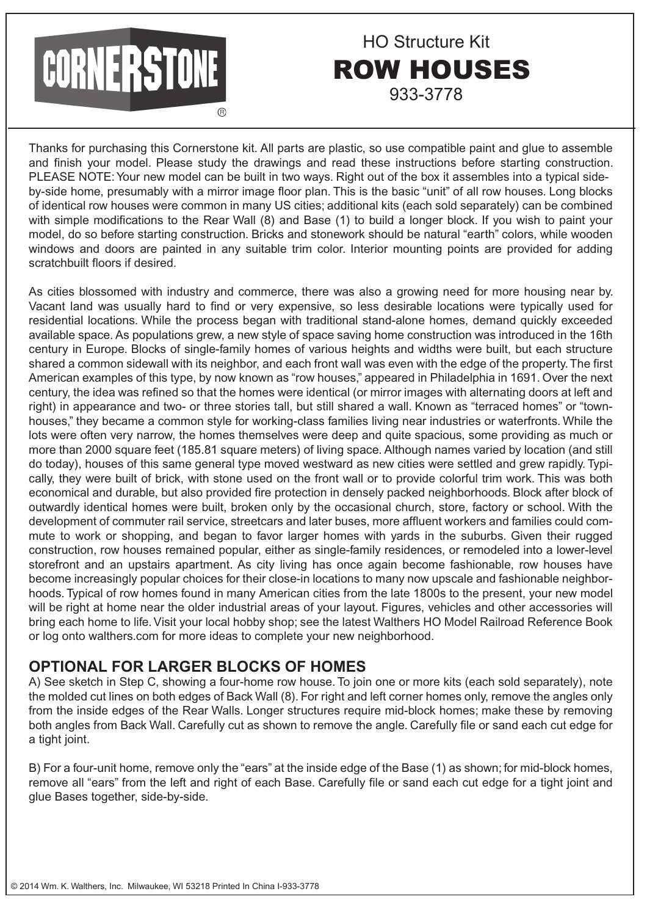# CORNERSTONE

### ROW HOUSES HO Structure Kit 933-3778

Thanks for purchasing this Cornerstone kit. All parts are plastic, so use compatible paint and glue to assemble and finish your model. Please study the drawings and read these instructions before starting construction. PLEASE NOTE: Your new model can be built in two ways. Right out of the box it assembles into a typical sideby-side home, presumably with a mirror image floor plan. This is the basic "unit" of all row houses. Long blocks of identical row houses were common in many US cities; additional kits (each sold separately) can be combined with simple modifications to the Rear Wall (8) and Base (1) to build a longer block. If you wish to paint your model, do so before starting construction. Bricks and stonework should be natural "earth" colors, while wooden windows and doors are painted in any suitable trim color. Interior mounting points are provided for adding scratchbuilt floors if desired.

As cities blossomed with industry and commerce, there was also a growing need for more housing near by. Vacant land was usually hard to find or very expensive, so less desirable locations were typically used for residential locations. While the process began with traditional stand-alone homes, demand quickly exceeded available space. As populations grew, a new style of space saving home construction was introduced in the 16th century in Europe. Blocks of single-family homes of various heights and widths were built, but each structure shared a common sidewall with its neighbor, and each front wall was even with the edge of the property. The first American examples of this type, by now known as "row houses," appeared in Philadelphia in 1691. Over the next century, the idea was refined so that the homes were identical (or mirror images with alternating doors at left and right) in appearance and two- or three stories tall, but still shared a wall. Known as "terraced homes" or "townhouses," they became a common style for working-class families living near industries or waterfronts. While the lots were often very narrow, the homes themselves were deep and quite spacious, some providing as much or more than 2000 square feet (185.81 square meters) of living space. Although names varied by location (and still do today), houses of this same general type moved westward as new cities were settled and grew rapidly. Typically, they were built of brick, with stone used on the front wall or to provide colorful trim work. This was both economical and durable, but also provided fire protection in densely packed neighborhoods. Block after block of outwardly identical homes were built, broken only by the occasional church, store, factory or school. With the development of commuter rail service, streetcars and later buses, more affluent workers and families could commute to work or shopping, and began to favor larger homes with yards in the suburbs. Given their rugged construction, row houses remained popular, either as single-family residences, or remodeled into a lower-level storefront and an upstairs apartment. As city living has once again become fashionable, row houses have become increasingly popular choices for their close-in locations to many now upscale and fashionable neighborhoods. Typical of row homes found in many American cities from the late 1800s to the present, your new model will be right at home near the older industrial areas of your layout. Figures, vehicles and other accessories will bring each home to life. Visit your local hobby shop; see the latest Walthers HO Model Railroad Reference Book or log onto walthers.com for more ideas to complete your new neighborhood.

#### **OPTIONAL FOR LARGER BLOCKS OF HOMES**

A) See sketch in Step C, showing a four-home row house. To join one or more kits (each sold separately), note the molded cut lines on both edges of Back Wall (8). For right and left corner homes only, remove the angles only from the inside edges of the Rear Walls. Longer structures require mid-block homes; make these by removing both angles from Back Wall. Carefully cut as shown to remove the angle. Carefully file or sand each cut edge for a tight joint.

B) For a four-unit home, remove only the "ears" at the inside edge of the Base (1) as shown; for mid-block homes, remove all "ears" from the left and right of each Base. Carefully file or sand each cut edge for a tight joint and glue Bases together, side-by-side.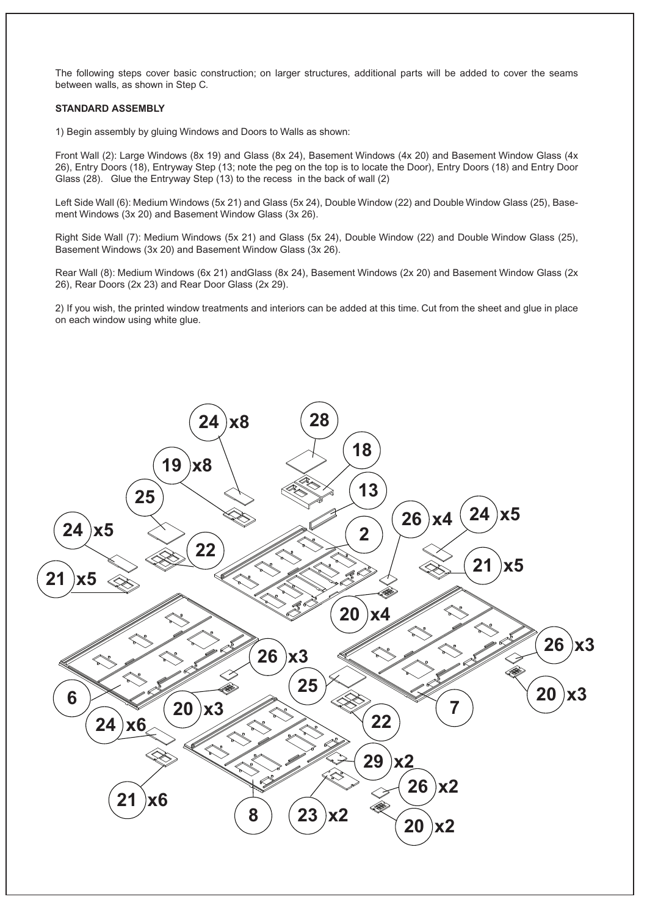The following steps cover basic construction; on larger structures, additional parts will be added to cover the seams between walls, as shown in Step C.

#### **STANDARD ASSEMBLY**

1) Begin assembly by gluing Windows and Doors to Walls as shown:

Front Wall (2): Large Windows (8x 19) and Glass (8x 24), Basement Windows (4x 20) and Basement Window Glass (4x 26), Entry Doors (18), Entryway Step (13; note the peg on the top is to locate the Door), Entry Doors (18) and Entry Door Glass (28). Glue the Entryway Step (13) to the recess in the back of wall (2)

Left Side Wall (6): Medium Windows (5x 21) and Glass (5x 24), Double Window (22) and Double Window Glass (25), Basement Windows (3x 20) and Basement Window Glass (3x 26).

Right Side Wall (7): Medium Windows (5x 21) and Glass (5x 24), Double Window (22) and Double Window Glass (25), Basement Windows (3x 20) and Basement Window Glass (3x 26).

Rear Wall (8): Medium Windows (6x 21) andGlass (8x 24), Basement Windows (2x 20) and Basement Window Glass (2x 26), Rear Doors (2x 23) and Rear Door Glass (2x 29).

2) If you wish, the printed window treatments and interiors can be added at this time. Cut from the sheet and glue in place on each window using white glue.

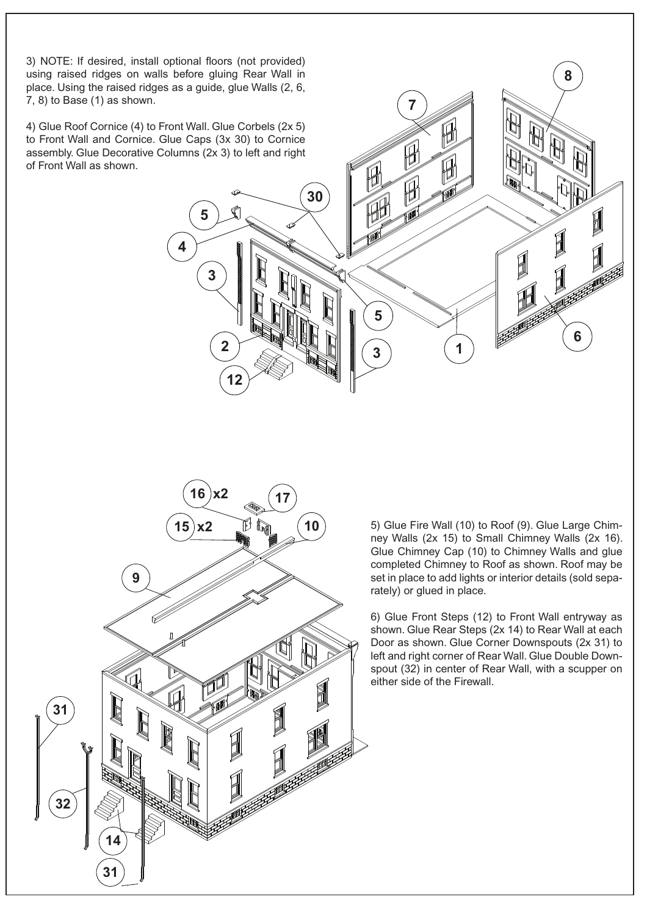3) NOTE: If desired, install optional floors (not provided) using raised ridges on walls before gluing Rear Wall in place. Using the raised ridges as a guide, glue Walls (2, 6, 7, 8) to Base (1) as shown.

4) Glue Roof Cornice (4) to Front Wall. Glue Corbels (2x 5) to Front Wall and Cornice. Glue Caps (3x 30) to Cornice assembly. Glue Decorative Columns (2x 3) to left and right of Front Wall as shown.

**5**

**4**

**3**

**12**

**2**

**30**

**5**

**7**

H

H

**8**

**6**

1

1

**3**

5) Glue Fire Wall (10) to Roof (9). Glue Large Chimney Walls (2x 15) to Small Chimney Walls (2x 16). Glue Chimney Cap (10) to Chimney Walls and glue completed Chimney to Roof as shown. Roof may be set in place to add lights or interior details (sold separately) or glued in place.

**1**

6) Glue Front Steps (12) to Front Wall entryway as shown. Glue Rear Steps (2x 14) to Rear Wall at each Door as shown. Glue Corner Downspouts (2x 31) to left and right corner of Rear Wall. Glue Double Downspout (32) in center of Rear Wall, with a scupper on either side of the Firewall.